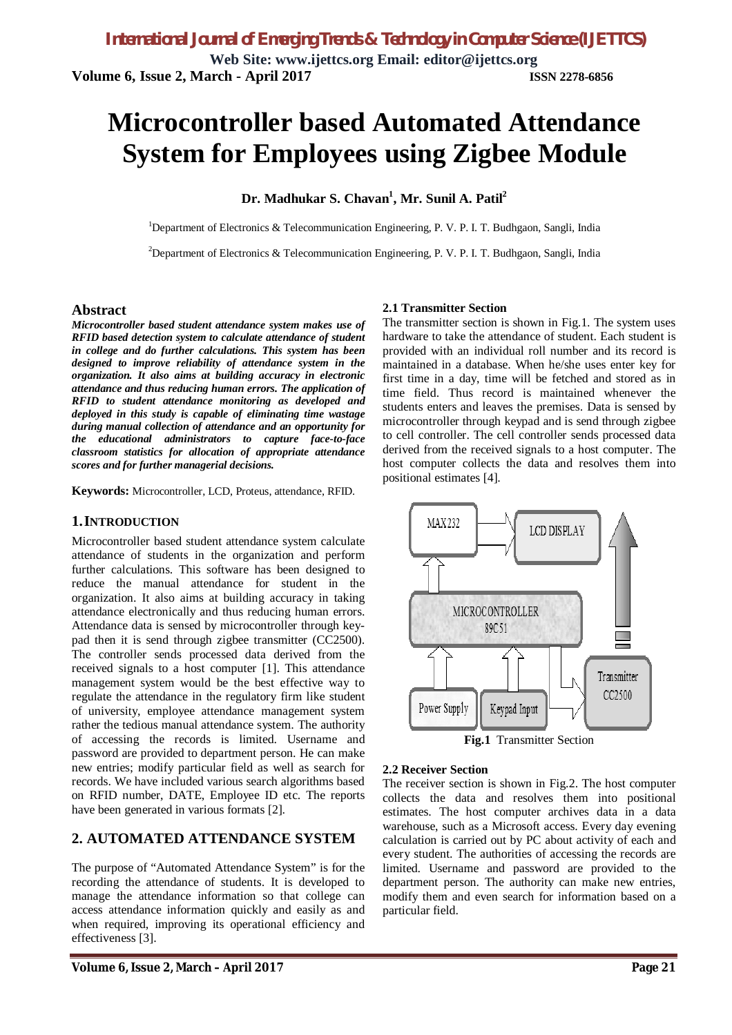# **Microcontroller based Automated Attendance System for Employees using Zigbee Module**

**Dr. Madhukar S. Chavan<sup>1</sup> , Mr. Sunil A. Patil<sup>2</sup>**

<sup>1</sup>Department of Electronics & Telecommunication Engineering, P. V. P. I. T. Budhgaon, Sangli, India

<sup>2</sup>Department of Electronics & Telecommunication Engineering, P. V. P. I. T. Budhgaon, Sangli, India

#### **Abstract**

*Microcontroller based student attendance system makes use of RFID based detection system to calculate attendance of student in college and do further calculations. This system has been designed to improve reliability of attendance system in the organization. It also aims at building accuracy in electronic attendance and thus reducing human errors. The application of RFID to student attendance monitoring as developed and deployed in this study is capable of eliminating time wastage during manual collection of attendance and an opportunity for the educational administrators to capture face-to-face classroom statistics for allocation of appropriate attendance scores and for further managerial decisions.*

**Keywords:** Microcontroller, LCD, Proteus, attendance, RFID.

#### **1.INTRODUCTION**

Microcontroller based student attendance system calculate attendance of students in the organization and perform further calculations. This software has been designed to reduce the manual attendance for student in the organization. It also aims at building accuracy in taking attendance electronically and thus reducing human errors. Attendance data is sensed by microcontroller through keypad then it is send through zigbee transmitter (CC2500). The controller sends processed data derived from the received signals to a host computer [1]. This attendance management system would be the best effective way to regulate the attendance in the regulatory firm like student of university, employee attendance management system rather the tedious manual attendance system. The authority of accessing the records is limited. Username and password are provided to department person. He can make new entries; modify particular field as well as search for records. We have included various search algorithms based on RFID number, DATE, Employee ID etc. The reports have been generated in various formats [2].

# **2. AUTOMATED ATTENDANCE SYSTEM**

The purpose of "Automated Attendance System" is for the recording the attendance of students. It is developed to manage the attendance information so that college can access attendance information quickly and easily as and when required, improving its operational efficiency and effectiveness [3].

#### **2.1 Transmitter Section**

The transmitter section is shown in Fig.1. The system uses hardware to take the attendance of student. Each student is provided with an individual roll number and its record is maintained in a database. When he/she uses enter key for first time in a day, time will be fetched and stored as in time field. Thus record is maintained whenever the students enters and leaves the premises. Data is sensed by microcontroller through keypad and is send through zigbee to cell controller. The cell controller sends processed data derived from the received signals to a host computer. The host computer collects the data and resolves them into positional estimates [4].





#### **2.2 Receiver Section**

The receiver section is shown in Fig.2. The host computer collects the data and resolves them into positional estimates. The host computer archives data in a data warehouse, such as a Microsoft access. Every day evening calculation is carried out by PC about activity of each and every student. The authorities of accessing the records are limited. Username and password are provided to the department person. The authority can make new entries, modify them and even search for information based on a particular field.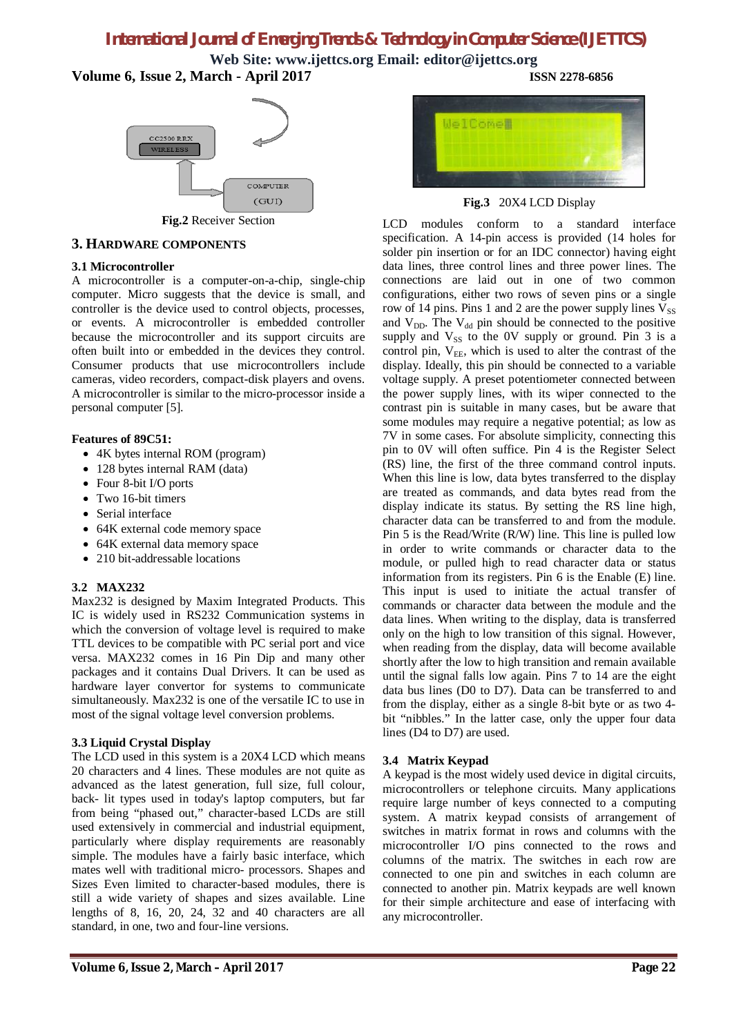# *International Journal of Emerging Trends & Technology in Computer Science (IJETTCS)*

**Web Site: [www.ijettcs.org](http://www.ijettcs.org) Email: [editor@ijettcs.org](mailto:editor@ijettcs.org) Volume 6, Issue 2, March - April 2017 ISSN 2278-6856**



**Fig.2** Receiver Section

#### **3. HARDWARE COMPONENTS**

#### **3.1 Microcontroller**

A microcontroller is a computer-on-a-chip, single-chip computer. Micro suggests that the device is small, and controller is the device used to control objects, processes, or events. A microcontroller is embedded controller because the microcontroller and its support circuits are often built into or embedded in the devices they control. Consumer products that use microcontrollers include cameras, video recorders, compact-disk players and ovens. A microcontroller is similar to the micro-processor inside a personal computer [5].

#### **Features of 89C51:**

- 4K bytes internal ROM (program)
- 128 bytes internal RAM (data)
- Four 8-bit I/O ports
- Two 16-bit timers
- Serial interface
- 64K external code memory space
- 64K external data memory space
- 210 bit-addressable locations

#### **3.2 MAX232**

Max232 is designed by Maxim Integrated Products. This IC is widely used in RS232 Communication systems in which the conversion of voltage level is required to make TTL devices to be compatible with PC serial port and vice versa. MAX232 comes in 16 Pin Dip and many other packages and it contains Dual Drivers. It can be used as hardware layer convertor for systems to communicate simultaneously. Max232 is one of the versatile IC to use in most of the signal voltage level conversion problems.

#### **3.3 Liquid Crystal Display**

The LCD used in this system is a 20X4 LCD which means 20 characters and 4 lines. These modules are not quite as advanced as the latest generation, full size, full colour, back- lit types used in today's laptop computers, but far from being "phased out," character-based LCDs are still used extensively in commercial and industrial equipment, particularly where display requirements are reasonably simple. The modules have a fairly basic interface, which mates well with traditional micro- processors. Shapes and Sizes Even limited to character-based modules, there is still a wide variety of shapes and sizes available. Line lengths of 8, 16, 20, 24, 32 and 40 characters are all standard, in one, two and four-line versions.



**Fig.3** 20X4 LCD Display

LCD modules conform to a standard interface specification. A 14-pin access is provided (14 holes for solder pin insertion or for an IDC connector) having eight data lines, three control lines and three power lines. The connections are laid out in one of two common configurations, either two rows of seven pins or a single row of 14 pins. Pins 1 and 2 are the power supply lines  $V_{SS}$ and  $V_{DD}$ . The  $V_{dd}$  pin should be connected to the positive supply and  $V_{SS}$  to the 0V supply or ground. Pin 3 is a control pin,  $V_{EE}$ , which is used to alter the contrast of the display. Ideally, this pin should be connected to a variable voltage supply. A preset potentiometer connected between the power supply lines, with its wiper connected to the contrast pin is suitable in many cases, but be aware that some modules may require a negative potential; as low as 7V in some cases. For absolute simplicity, connecting this pin to 0V will often suffice. Pin 4 is the Register Select (RS) line, the first of the three command control inputs. When this line is low, data bytes transferred to the display are treated as commands, and data bytes read from the display indicate its status. By setting the RS line high, character data can be transferred to and from the module. Pin 5 is the Read/Write (R/W) line. This line is pulled low in order to write commands or character data to the module, or pulled high to read character data or status information from its registers. Pin 6 is the Enable (E) line. This input is used to initiate the actual transfer of commands or character data between the module and the data lines. When writing to the display, data is transferred only on the high to low transition of this signal. However, when reading from the display, data will become available shortly after the low to high transition and remain available until the signal falls low again. Pins 7 to 14 are the eight data bus lines (D0 to D7). Data can be transferred to and from the display, either as a single 8-bit byte or as two 4 bit "nibbles." In the latter case, only the upper four data lines (D4 to D7) are used.

#### **3.4 Matrix Keypad**

A keypad is the most widely used device in digital circuits, microcontrollers or telephone circuits. Many applications require large number of keys connected to a computing system. A matrix keypad consists of arrangement of switches in matrix format in rows and columns with the microcontroller I/O pins connected to the rows and columns of the matrix. The switches in each row are connected to one pin and switches in each column are connected to another pin. Matrix keypads are well known for their simple architecture and ease of interfacing with any microcontroller.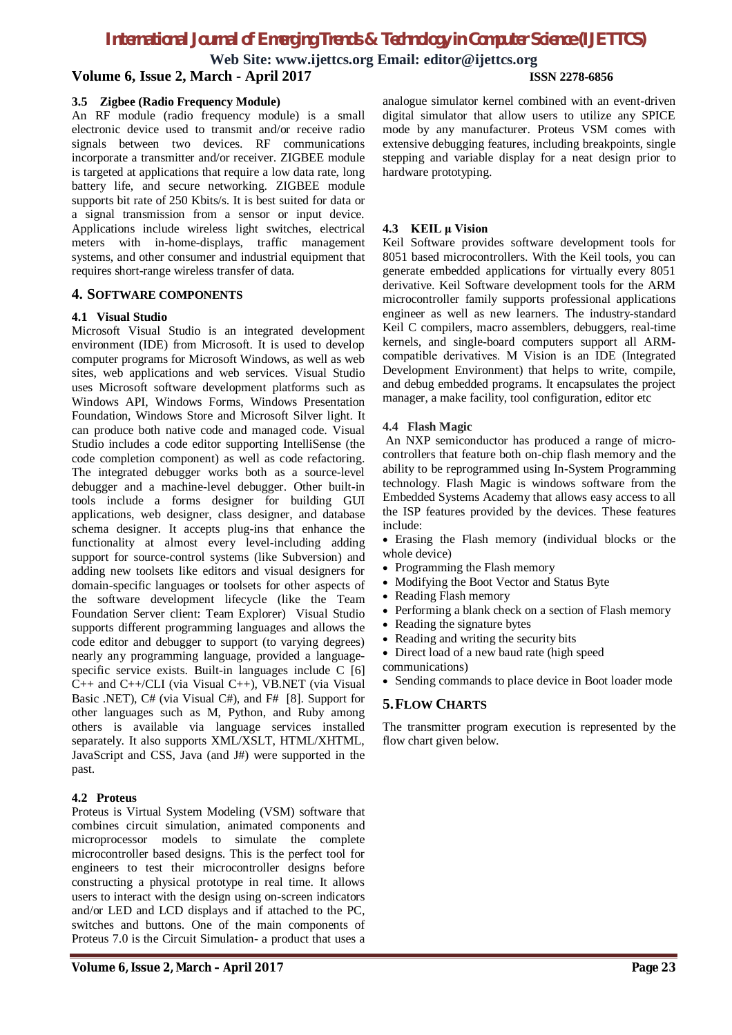# *International Journal of Emerging Trends & Technology in Computer Science (IJETTCS)*

**Web Site: [www.ijettcs.org](http://www.ijettcs.org) Email: [editor@ijettcs.org](mailto:editor@ijettcs.org) Volume 6, Issue 2, March - April 2017 ISSN 2278-6856**

#### **3.5 Zigbee (Radio Frequency Module)**

An RF module (radio frequency module) is a small electronic device used to transmit and/or receive radio signals between two devices. RF communications incorporate a transmitter and/or receiver. ZIGBEE module is targeted at applications that require a low data rate, long battery life, and secure networking. ZIGBEE module supports bit rate of 250 Kbits/s. It is best suited for data or a signal transmission from a sensor or input device. Applications include wireless light switches, electrical meters with in-home-displays, traffic management systems, and other consumer and industrial equipment that requires short-range wireless transfer of data.

#### **4. SOFTWARE COMPONENTS**

#### **4.1 Visual Studio**

Microsoft Visual Studio is an integrated development environment (IDE) from Microsoft. It is used to develop computer programs for Microsoft Windows, as well as web sites, web applications and web services. Visual Studio uses Microsoft software development platforms such as Windows API, Windows Forms, Windows Presentation Foundation, Windows Store and Microsoft Silver light. It can produce both native code and managed code. Visual Studio includes a code editor supporting IntelliSense (the code completion component) as well as code refactoring. The integrated debugger works both as a source-level debugger and a machine-level debugger. Other built-in tools include a forms designer for building GUI applications, web designer, class designer, and database schema designer. It accepts plug-ins that enhance the functionality at almost every level-including adding support for source-control systems (like Subversion) and adding new toolsets like editors and visual designers for domain-specific languages or toolsets for other aspects of the software development lifecycle (like the Team Foundation Server client: Team Explorer) Visual Studio supports different programming languages and allows the code editor and debugger to support (to varying degrees) nearly any programming language, provided a languagespecific service exists. Built-in languages include C [6] C++ and C++/CLI (via Visual C++), VB.NET (via Visual Basic .NET), C# (via Visual C#), and F# [8]. Support for other languages such as M, Python, and Ruby among others is available via language services installed separately. It also supports XML/XSLT, HTML/XHTML, JavaScript and CSS, Java (and J#) were supported in the past.

#### **4.2 Proteus**

Proteus is Virtual System Modeling (VSM) software that combines circuit simulation, animated components and microprocessor models to simulate the complete microcontroller based designs. This is the perfect tool for engineers to test their microcontroller designs before constructing a physical prototype in real time. It allows users to interact with the design using on-screen indicators and/or LED and LCD displays and if attached to the PC, switches and buttons. One of the main components of Proteus 7.0 is the Circuit Simulation- a product that uses a

analogue simulator kernel combined with an event-driven digital simulator that allow users to utilize any SPICE mode by any manufacturer. Proteus VSM comes with extensive debugging features, including breakpoints, single stepping and variable display for a neat design prior to hardware prototyping.

#### **4.3 KEIL μ Vision**

Keil Software provides software development tools for 8051 based microcontrollers. With the Keil tools, you can generate embedded applications for virtually every 8051 derivative. Keil Software development tools for the ARM microcontroller family supports professional applications engineer as well as new learners. The industry-standard Keil C compilers, macro assemblers, debuggers, real-time kernels, and single-board computers support all ARMcompatible derivatives. Μ Vision is an IDE (Integrated Development Environment) that helps to write, compile, and debug embedded programs. It encapsulates the project manager, a make facility, tool configuration, editor etc

#### **4.4 Flash Magic**

An NXP semiconductor has produced a range of microcontrollers that feature both on-chip flash memory and the ability to be reprogrammed using In-System Programming technology. Flash Magic is windows software from the Embedded Systems Academy that allows easy access to all the ISP features provided by the devices. These features include:

- Erasing the Flash memory (individual blocks or the whole device)
- Programming the Flash memory
- Modifying the Boot Vector and Status Byte
- Reading Flash memory
- Performing a blank check on a section of Flash memory
- Reading the signature bytes
- Reading and writing the security bits
- Direct load of a new baud rate (high speed
- communications)
- Sending commands to place device in Boot loader mode

#### **5.FLOW CHARTS**

The transmitter program execution is represented by the flow chart given below.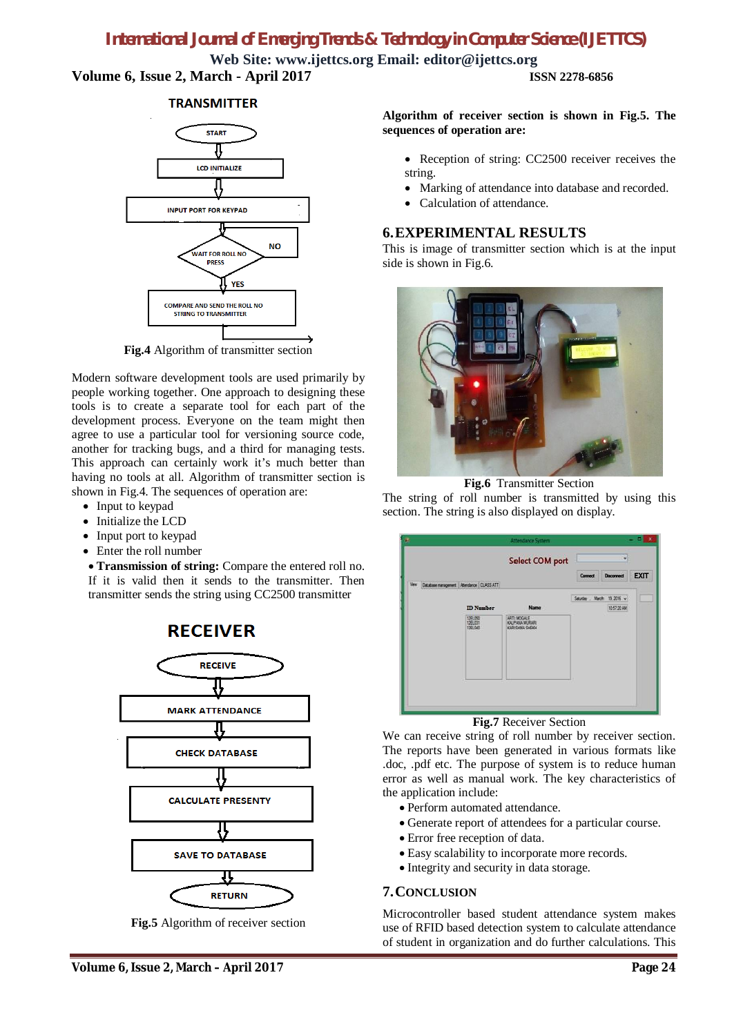# *International Journal of Emerging Trends & Technology in Computer Science (IJETTCS)*

**Web Site: [www.ijettcs.org](http://www.ijettcs.org) Email: [editor@ijettcs.org](mailto:editor@ijettcs.org) Volume 6, Issue 2, March - April 2017 ISSN 2278-6856**

#### **TRANSMITTER**



**Fig.4** Algorithm of transmitter section

Modern software development tools are used primarily by people working together. One approach to designing these tools is to create a separate tool for each part of the development process. Everyone on the team might then agree to use a particular tool for versioning source code, another for tracking bugs, and a third for managing tests. This approach can certainly work it's much better than having no tools at all. Algorithm of transmitter section is shown in Fig.4. The sequences of operation are:

- Input to keypad
- Initialize the LCD
- Input port to keypad
- Enter the roll number

 **Transmission of string:** Compare the entered roll no. If it is valid then it sends to the transmitter. Then transmitter sends the string using CC2500 transmitter



**Fig.5** Algorithm of receiver section

**Algorithm of receiver section is shown in Fig.5. The sequences of operation are:**

- Reception of string: CC2500 receiver receives the string.
- Marking of attendance into database and recorded.
- Calculation of attendance.

### **6.EXPERIMENTAL RESULTS**

This is image of transmitter section which is at the input side is shown in Fig.6.



**Fig.6** Transmitter Section

The string of roll number is transmitted by using this section. The string is also displayed on display.

|                                                  | <b>Select COM port</b>        |         |                            |             |
|--------------------------------------------------|-------------------------------|---------|----------------------------|-------------|
| Vew Database management   Atlendance   CLASS ATT |                               | Connect | Deconnect                  | <b>EXIT</b> |
|                                                  |                               |         | Saurbey , March 19, 2016 w |             |
| <b>ID</b> Number                                 | <b>Name</b>                   |         | 105720 AM                  |             |
| 1261050<br>126101<br>1261040                     | ARTI MOGALE<br>KALPANA MURARI |         |                            |             |
|                                                  |                               |         |                            |             |

**Fig.7** Receiver Section

We can receive string of roll number by receiver section. The reports have been generated in various formats like .doc, .pdf etc. The purpose of system is to reduce human error as well as manual work. The key characteristics of the application include:

- Perform automated attendance.
- Generate report of attendees for a particular course.
- Error free reception of data.
- Easy scalability to incorporate more records.
- Integrity and security in data storage.

# **7.CONCLUSION**

Microcontroller based student attendance system makes use of RFID based detection system to calculate attendance of student in organization and do further calculations. This